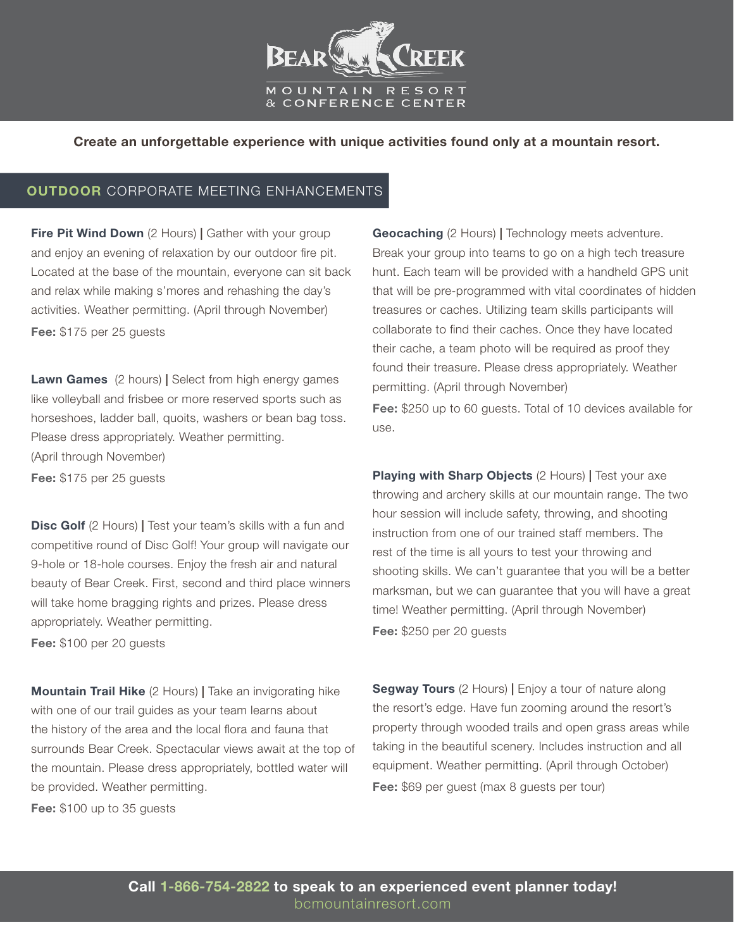

Create an unforgettable experience with unique activities found only at a mountain resort.

## **OUTDOOR CORPORATE MEETING ENHANCEMENTS**

**Fire Pit Wind Down** (2 Hours) | Gather with your group and enjoy an evening of relaxation by our outdoor fire pit. Located at the base of the mountain, everyone can sit back and relax while making s'mores and rehashing the day's activities. Weather permitting. (April through November) Fee: \$175 per 25 quests

**Lawn Games** (2 hours) | Select from high energy games like volleyball and frisbee or more reserved sports such as horseshoes, ladder ball, quoits, washers or bean bag toss. Please dress appropriately. Weather permitting. (April through November) Fee: \$175 per 25 guests

**Disc Golf** (2 Hours) | Test your team's skills with a fun and competitive round of Disc Golf! Your group will navigate our 9-hole or 18-hole courses. Enjoy the fresh air and natural beauty of Bear Creek. First, second and third place winners will take home bragging rights and prizes. Please dress appropriately. Weather permitting.

Fee: \$100 per 20 guests

**Mountain Trail Hike** (2 Hours) | Take an invigorating hike with one of our trail guides as your team learns about the history of the area and the local flora and fauna that surrounds Bear Creek. Spectacular views await at the top of the mountain. Please dress appropriately, bottled water will be provided. Weather permitting.

Fee: \$100 up to 35 guests

Geocaching (2 Hours) | Technology meets adventure. Break your group into teams to go on a high tech treasure hunt. Each team will be provided with a handheld GPS unit that will be pre-programmed with vital coordinates of hidden treasures or caches. Utilizing team skills participants will collaborate to find their caches. Once they have located their cache, a team photo will be required as proof they found their treasure. Please dress appropriately. Weather permitting. (April through November) Fee: \$250 up to 60 guests. Total of 10 devices available for use.

Playing with Sharp Objects (2 Hours) | Test your axe throwing and archery skills at our mountain range. The two hour session will include safety, throwing, and shooting instruction from one of our trained staff members. The rest of the time is all yours to test your throwing and shooting skills. We can't guarantee that you will be a better marksman, but we can guarantee that you will have a great time! Weather permitting. (April through November) Fee: \$250 per 20 guests

**Segway Tours** (2 Hours) | Enjoy a tour of nature along the resort's edge. Have fun zooming around the resort's property through wooded trails and open grass areas while taking in the beautiful scenery. Includes instruction and all equipment. Weather permitting. (April through October) Fee: \$69 per guest (max 8 guests per tour)